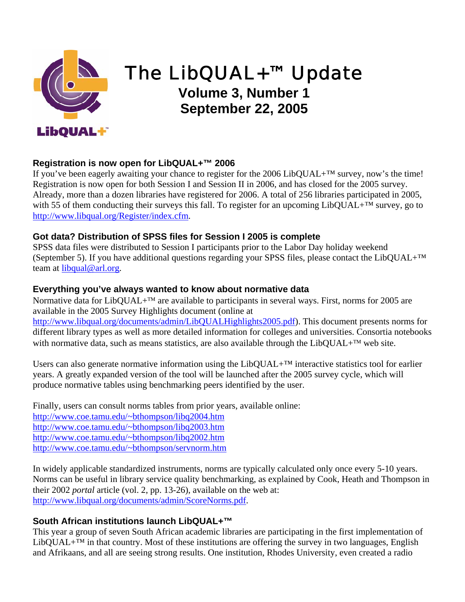

# The LibQUAL+™ Update

# **Volume 3, Number 1 September 22, 2005**

# **Registration is now open for LibQUAL+™ 2006**

If you've been eagerly awaiting your chance to register for the 2006 LibQUAL+™ survey, now's the time! Registration is now open for both Session I and Session II in 2006, and has closed for the 2005 survey. Already, more than a dozen libraries have registered for 2006. A total of 256 libraries participated in 2005, with 55 of them conducting their surveys this fall. To register for an upcoming LibQUAL+™ survey, go to [http://www.libqual.org/Register/index.cfm](http://old.libqual.org/Register/index.cfm).

#### **Got data? Distribution of SPSS files for Session I 2005 is complete**

SPSS data files were distributed to Session I participants prior to the Labor Day holiday weekend (September 5). If you have additional questions regarding your SPSS files, please contact the LibQUAL+ $^{TM}$ team at [libqual@arl.org](mailto:libqual@arl.org).

#### **Everything you've always wanted to know about normative data**

Normative data for LibQUAL+<sup>™</sup> are available to participants in several ways. First, norms for 2005 are available in the 2005 Survey Highlights document (online at [http://www.libqual.org/documents/admin/LibQUALHighlights2005.pdf\)](http://old.libqual.org/documents/admin/LibQUALHighlights2005.pdf). This document presents norms for different library types as well as more detailed information for colleges and universities. Consortia notebooks with normative data, such as means statistics, are also available through the LibQUAL+™ web site.

Users can also generate normative information using the  $LibQUAL+<sup>TM</sup>$  interactive statistics tool for earlier years. A greatly expanded version of the tool will be launched after the 2005 survey cycle, which will produce normative tables using benchmarking peers identified by the user.

Finally, users can consult norms tables from prior years, available online: <http://www.coe.tamu.edu/~bthompson/libq2004.htm> <http://www.coe.tamu.edu/~bthompson/libq2003.htm> <http://www.coe.tamu.edu/~bthompson/libq2002.htm> <http://www.coe.tamu.edu/~bthompson/servnorm.htm>

In widely applicable standardized instruments, norms are typically calculated only once every 5-10 years. Norms can be useful in library service quality benchmarking, as explained by Cook, Heath and Thompson in their 2002 *portal* article (vol. 2, pp. 13-26), available on the web at: [http://www.libqual.org/documents/admin/ScoreNorms.pdf](http://old.libqual.org/documents/admin/ScoreNorms.pdf).

#### **South African institutions launch LibQUAL+™**

This year a group of seven South African academic libraries are participating in the first implementation of LibQUAL+ $^{TM}$  in that country. Most of these institutions are offering the survey in two languages, English and Afrikaans, and all are seeing strong results. One institution, Rhodes University, even created a radio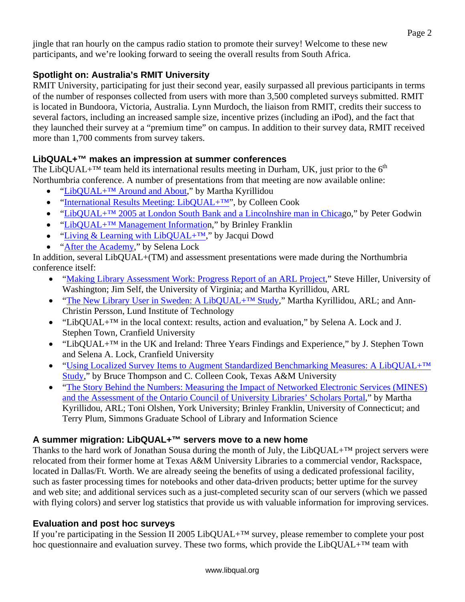jingle that ran hourly on the campus radio station to promote their survey! Welcome to these new participants, and we're looking forward to seeing the overall results from South Africa.

# **Spotlight on: Australia's RMIT University**

RMIT University, participating for just their second year, easily surpassed all previous participants in terms of the number of responses collected from users with more than 3,500 completed surveys submitted. RMIT is located in Bundoora, Victoria, Australia. Lynn Murdoch, the liaison from RMIT, credits their success to several factors, including an increased sample size, incentive prizes (including an iPod), and the fact that they launched their survey at a "premium time" on campus. In addition to their survey data, RMIT received more than 1,700 comments from survey takers.

### **LibQUAL+™ makes an impression at summer conferences**

The LibQUAL+<sup>TM</sup> team held its international results meeting in Durham, UK, just prior to the  $6<sup>th</sup>$ Northumbria conference. A number of presentations from that meeting are now available online:

- "LibQUAL+<sup>TM</sup> Around and About," by Martha Kyrillidou
- "[International Results Meeting: LibQUAL+™"](http://old.libqual.org/documents/admin/Internation_Results_Meeting_2005.ppt), by Colleen Cook
- "LibQUAL+<sup>TM</sup> 2005 at London South Bank and a Lincolnshire man in Chicago," by Peter Godwin
- "LibQUAL+<sup>™</sup> Management Information," by Brinley Franklin
- "Living & Learning with LibQUAL+<sup>™</sup>," by Jacqui Dowd
- "[After the Academy](http://old.libqual.org/documents/admin/After_the_Academy.ppt)," by Selena Lock

In addition, several LibQUAL+(TM) and assessment presentations were made during the Northumbria conference itself:

- "[Making Library Assessment Work: Progress Report of an ARL Project,](http://old.libqual.org/documents/admin/Northumbria_PM6_9JimSteve.ppt)" Steve Hiller, University of Washington; Jim Self, the University of Virginia; and Martha Kyrillidou, ARL
- "The New Library User in Sweden: A LibQUAL+<sup>TM</sup> Study," Martha Kyrillidou, ARL; and Ann-Christin Persson, Lund Institute of Technology
- "LibQUAL+<sup>™</sup> in the local context: results, action and evaluation," by Selena A. Lock and J. Stephen Town, Cranfield University
- "LibQUAL+™ in the UK and Ireland: Three Years Findings and Experience," by J. Stephen Town and Selena A. Lock, Cranfield University
- "Using Localized Survey Items to Augment Standardized Benchmarking Measures: A LibQUAL+<sup>TM</sup> [Study](http://old.libqual.org/documents/admin/northu05.doc)," by Bruce Thompson and C. Colleen Cook, Texas A&M University
- "The Story Behind the Numbers: Measuring the Impact of Networked Electronic Services (MINES) [and the Assessment of the Ontario Council of University Libraries' Scholars Portal](http://old.libqual.org/documents/admin/Northumbria_6_2005.ppt)," by Martha Kyrillidou, ARL; Toni Olshen, York University; Brinley Franklin, University of Connecticut; and Terry Plum, Simmons Graduate School of Library and Information Science

### **A summer migration: LibQUAL+™ servers move to a new home**

Thanks to the hard work of Jonathan Sousa during the month of July, the LibQUAL+ $^{TM}$  project servers were relocated from their former home at Texas A&M University Libraries to a commercial vendor, Rackspace, located in Dallas/Ft. Worth. We are already seeing the benefits of using a dedicated professional facility, such as faster processing times for notebooks and other data-driven products; better uptime for the survey and web site; and additional services such as a just-completed security scan of our servers (which we passed with flying colors) and server log statistics that provide us with valuable information for improving services.

### **Evaluation and post hoc surveys**

If you're participating in the Session II 2005 LibQUAL+™ survey, please remember to complete your post hoc questionnaire and evaluation survey. These two forms, which provide the LibQUAL+™ team with